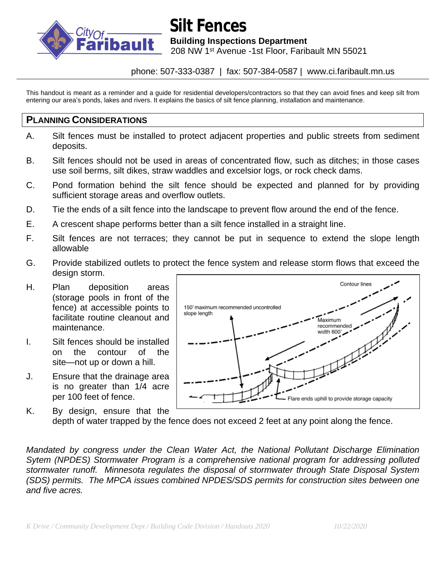

# **Silt Fences**

**bault** Building Inspections Department

208 NW 1st Avenue -1st Floor, Faribault MN 55021

#### phone: 507-333-0387 | fax: 507-384-0587 | www.ci.faribault.mn.us

This handout is meant as a reminder and a guide for residential developers/contractors so that they can avoid fines and keep silt from entering our area's ponds, lakes and rivers. It explains the basics of silt fence planning, installation and maintenance.

#### **PLANNING CONSIDERATIONS**

- A. Silt fences must be installed to protect adjacent properties and public streets from sediment deposits.
- B. Silt fences should not be used in areas of concentrated flow, such as ditches; in those cases use soil berms, silt dikes, straw waddles and excelsior logs, or rock check dams.
- C. Pond formation behind the silt fence should be expected and planned for by providing sufficient storage areas and overflow outlets.
- D. Tie the ends of a silt fence into the landscape to prevent flow around the end of the fence.
- E. A crescent shape performs better than a silt fence installed in a straight line.
- F. Silt fences are not terraces; they cannot be put in sequence to extend the slope length allowable
- G. Provide stabilized outlets to protect the fence system and release storm flows that exceed the design storm.
- H. Plan deposition areas (storage pools in front of the fence) at accessible points to facilitate routine cleanout and maintenance.
- I. Silt fences should be installed on the contour of the site—not up or down a hill.
- J. Ensure that the drainage area is no greater than 1/4 acre per 100 feet of fence.



K. By design, ensure that the depth of water trapped by the fence does not exceed 2 feet at any point along the fence.

*Mandated by congress under the Clean Water Act, the National Pollutant Discharge Elimination Sytem (NPDES) Stormwater Program is a comprehensive national program for addressing polluted stormwater runoff. Minnesota regulates the disposal of stormwater through State Disposal System (SDS) permits. The MPCA issues combined NPDES/SDS permits for construction sites between one and five acres.*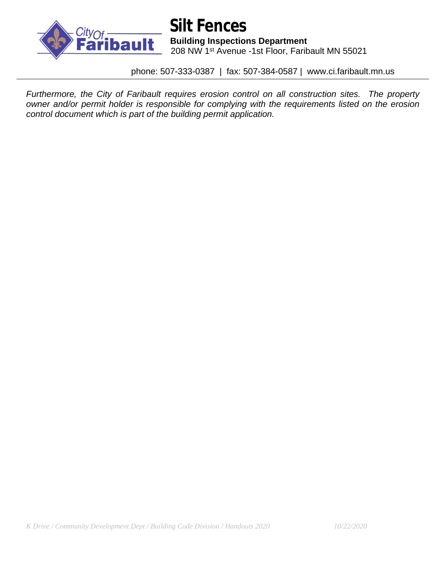

 **Silt Fences bault** Building Inspections Department<br>208 NW 1st Avenue -1st Floor Farit 208 NW 1st Avenue -1st Floor, Faribault MN 55021

phone: 507-333-0387 | fax: 507-384-0587 | www.ci.faribault.mn.us

*Furthermore, the City of Faribault requires erosion control on all construction sites. The property owner and/or permit holder is responsible for complying with the requirements listed on the erosion control document which is part of the building permit application.*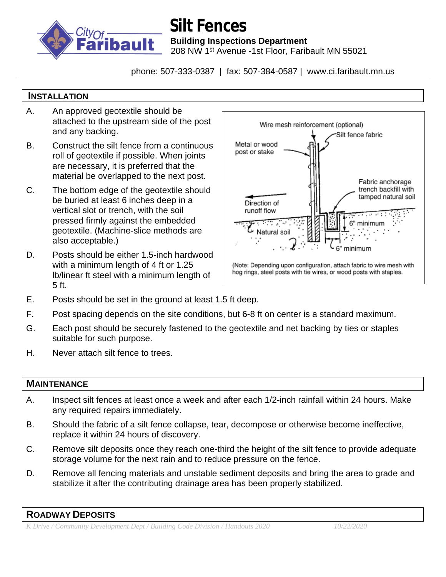

## **Silt Fences**

**bault** Building Inspections Department

208 NW 1st Avenue -1st Floor, Faribault MN 55021

phone: 507-333-0387 | fax: 507-384-0587 | www.ci.faribault.mn.us

### **INSTALLATION**

- A. An approved geotextile should be attached to the upstream side of the post and any backing.
- B. Construct the silt fence from a continuous roll of geotextile if possible. When joints are necessary, it is preferred that the material be overlapped to the next post.
- C. The bottom edge of the geotextile should be buried at least 6 inches deep in a vertical slot or trench, with the soil pressed firmly against the embedded geotextile. (Machine-slice methods are also acceptable.)
- D. Posts should be either 1.5-inch hardwood with a minimum length of 4 ft or 1.25 lb/linear ft steel with a minimum length of 5 ft.



- E. Posts should be set in the ground at least 1.5 ft deep.
- F. Post spacing depends on the site conditions, but 6-8 ft on center is a standard maximum.
- G. Each post should be securely fastened to the geotextile and net backing by ties or staples suitable for such purpose.
- H. Never attach silt fence to trees.

### **MAINTENANCE**

- A. Inspect silt fences at least once a week and after each 1/2-inch rainfall within 24 hours. Make any required repairs immediately.
- B. Should the fabric of a silt fence collapse, tear, decompose or otherwise become ineffective, replace it within 24 hours of discovery.
- C. Remove silt deposits once they reach one-third the height of the silt fence to provide adequate storage volume for the next rain and to reduce pressure on the fence.
- D. Remove all fencing materials and unstable sediment deposits and bring the area to grade and stabilize it after the contributing drainage area has been properly stabilized.

#### **ROADWAY DEPOSITS**